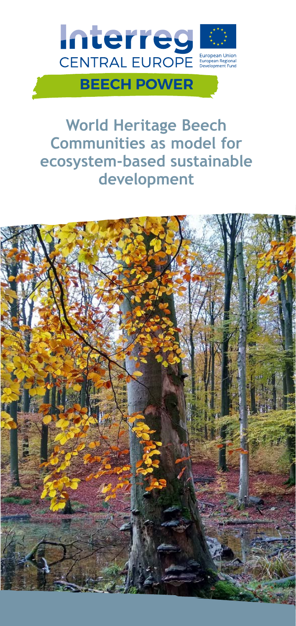

**World Heritage Beech Communities as model for ecosystem-based sustainable development**

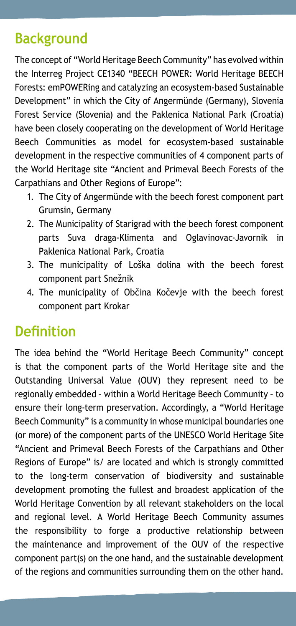## **Background**

The concept of "World Heritage Beech Community" has evolved within the Interreg Project CE1340 "BEECH POWER: World Heritage BEECH Forests: emPOWERing and catalyzing an ecosystem-based Sustainable Development" in which the City of Angermünde (Germany), Slovenia Forest Service (Slovenia) and the Paklenica National Park (Croatia) have been closely cooperating on the development of World Heritage Beech Communities as model for ecosystem-based sustainable development in the respective communities of 4 component parts of the World Heritage site "Ancient and Primeval Beech Forests of the Carpathians and Other Regions of Europe":

- 1. The City of Angermünde with the beech forest component part Grumsin, Germany
- 2. The Municipality of Starigrad with the beech forest component parts Suva draga-Klimenta and Oglavinovac-Javornik in Paklenica National Park, Croatia
- 3. The municipality of Loška dolina with the beech forest component part Snežnik
- 4. The municipality of Občina Kočevje with the beech forest component part Krokar

### **Definition**

The idea behind the "World Heritage Beech Community" concept is that the component parts of the World Heritage site and the Outstanding Universal Value (OUV) they represent need to be regionally embedded – within a World Heritage Beech Community – to ensure their long-term preservation. Accordingly, a "World Heritage Beech Community" is a community in whose municipal boundaries one (or more) of the component parts of the UNESCO World Heritage Site "Ancient and Primeval Beech Forests of the Carpathians and Other Regions of Europe" is/ are located and which is strongly committed to the long-term conservation of biodiversity and sustainable development promoting the fullest and broadest application of the World Heritage Convention by all relevant stakeholders on the local and regional level. A World Heritage Beech Community assumes the responsibility to forge a productive relationship between the maintenance and improvement of the OUV of the respective component part(s) on the one hand, and the sustainable development of the regions and communities surrounding them on the other hand.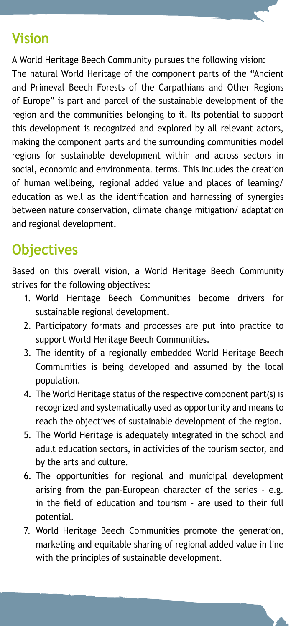### **Vision**

A World Heritage Beech Community pursues the following vision: The natural World Heritage of the component parts of the "Ancient and Primeval Beech Forests of the Carpathians and Other Regions of Europe" is part and parcel of the sustainable development of the region and the communities belonging to it. Its potential to support this development is recognized and explored by all relevant actors, making the component parts and the surrounding communities model regions for sustainable development within and across sectors in social, economic and environmental terms. This includes the creation of human wellbeing, regional added value and places of learning/ education as well as the identification and harnessing of synergies between nature conservation, climate change mitigation/ adaptation and regional development.

# **Objectives**

Based on this overall vision, a World Heritage Beech Community strives for the following objectives:

- 1. World Heritage Beech Communities become drivers for sustainable regional development.
- 2. Participatory formats and processes are put into practice to support World Heritage Beech Communities.
- 3. The identity of a regionally embedded World Heritage Beech Communities is being developed and assumed by the local population.
- 4. The World Heritage status of the respective component part(s) is recognized and systematically used as opportunity and means to reach the objectives of sustainable development of the region.
- 5. The World Heritage is adequately integrated in the school and adult education sectors, in activities of the tourism sector, and by the arts and culture.
- 6. The opportunities for regional and municipal development arising from the pan-European character of the series - e.g. in the field of education and tourism – are used to their full potential.
- 7. World Heritage Beech Communities promote the generation, marketing and equitable sharing of regional added value in line with the principles of sustainable development.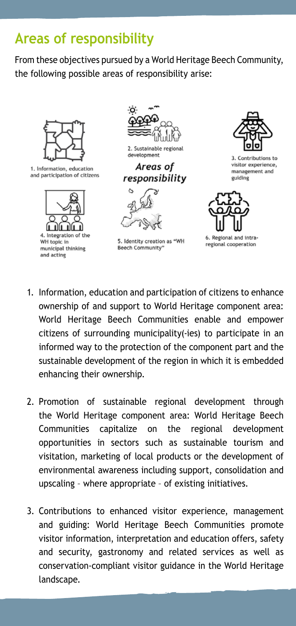# **Areas of responsibility**

From these objectives pursued by a World Heritage Beech Community, the following possible areas of responsibility arise:



1. Information, education and participation of citizens



4. Integration of the WH topic in municipal thinking and acting



development

Areas of responsibility



5. Identity creation as "WH Beech Community"



3. Contributions to visitor experience, management and guiding



6. Regional and intraregional cooperation

- 1. Information, education and participation of citizens to enhance ownership of and support to World Heritage component area: World Heritage Beech Communities enable and empower citizens of surrounding municipality(-ies) to participate in an informed way to the protection of the component part and the sustainable development of the region in which it is embedded enhancing their ownership.
- 2. Promotion of sustainable regional development through the World Heritage component area: World Heritage Beech Communities capitalize on the regional development opportunities in sectors such as sustainable tourism and visitation, marketing of local products or the development of environmental awareness including support, consolidation and upscaling – where appropriate – of existing initiatives.
- 3. Contributions to enhanced visitor experience, management and guiding: World Heritage Beech Communities promote visitor information, interpretation and education offers, safety and security, gastronomy and related services as well as conservation-compliant visitor guidance in the World Heritage landscape.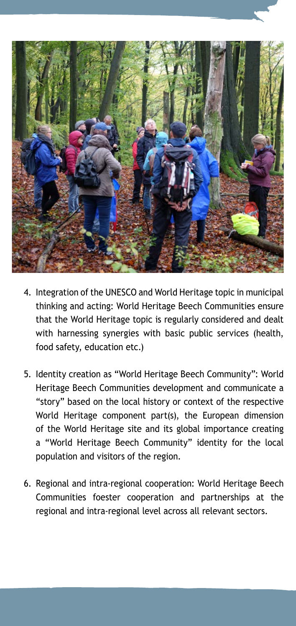

- 4. Integration of the UNESCO and World Heritage topic in municipal thinking and acting: World Heritage Beech Communities ensure that the World Heritage topic is regularly considered and dealt with harnessing synergies with basic public services (health, food safety, education etc.)
- 5. Identity creation as "World Heritage Beech Community": World Heritage Beech Communities development and communicate a "story" based on the local history or context of the respective World Heritage component part(s), the European dimension of the World Heritage site and its global importance creating a "World Heritage Beech Community" identity for the local population and visitors of the region.
- 6. Regional and intra-regional cooperation: World Heritage Beech Communities foester cooperation and partnerships at the regional and intra-regional level across all relevant sectors.